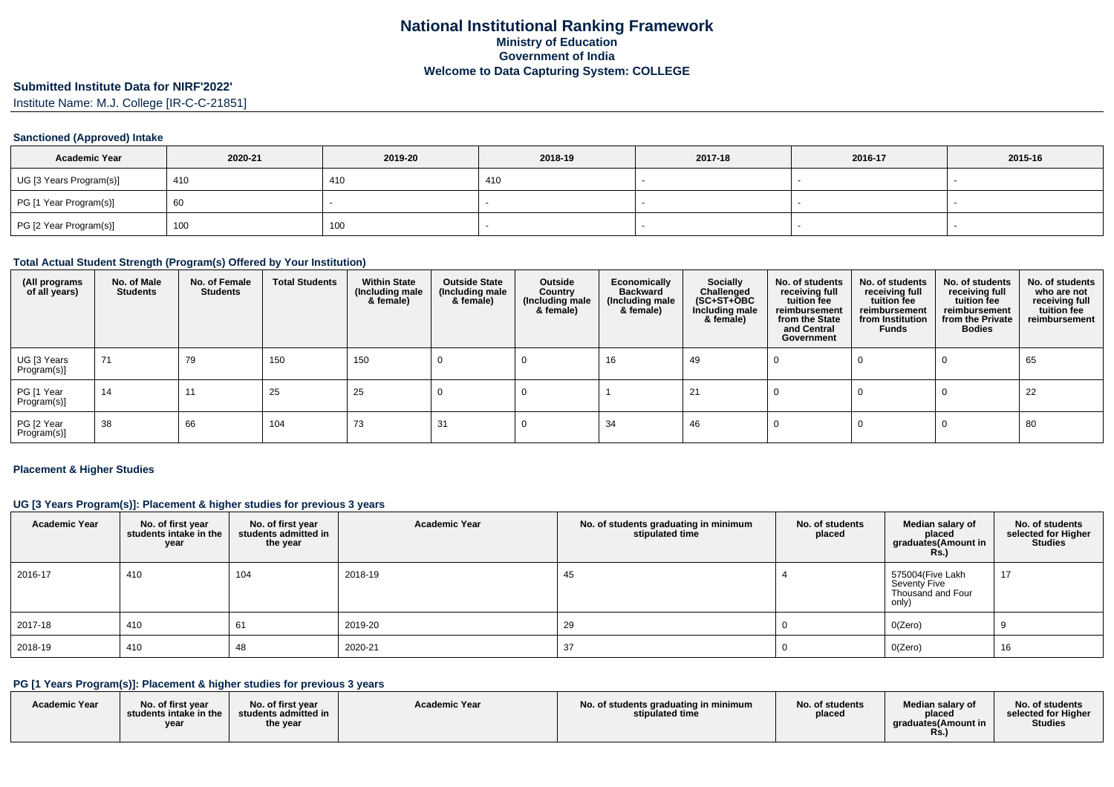# **Submitted Institute Data for NIRF'2022'**

Institute Name: M.J. College [IR-C-C-21851]

#### **Sanctioned (Approved) Intake**

| <b>Academic Year</b>    | 2020-21 | 2019-20 | 2018-19 | 2017-18 | 2016-17 | 2015-16 |
|-------------------------|---------|---------|---------|---------|---------|---------|
| UG [3 Years Program(s)] | 410     | 410     | 410     |         |         |         |
| PG [1 Year Program(s)]  | 60      |         |         |         |         |         |
| PG [2 Year Program(s)]  | 100     | 100     |         |         |         |         |

#### **Total Actual Student Strength (Program(s) Offered by Your Institution)**

| (All programs<br>of all years) | No. of Male<br><b>Students</b> | No. of Female<br>Students | <b>Total Students</b> | <b>Within State</b><br>(Including male<br>& female) | <b>Outside State</b><br>(Including male<br>& female) | Outside<br>Country<br>(Including male<br>& female) | Economically<br><b>Backward</b><br>(Including male<br>& female) | <b>Socially</b><br>Challenged<br>$(SC+ST+\textcolor{blue}{\bullet}BC$<br>Including male<br>& female) | No. of students<br>receiving full<br>tuition fee<br>reimbursement<br>from the State<br>and Central<br>Government | No. of students<br>receiving full<br>tuition fee<br>reimbursement<br>from Institution<br>Funds | No. of students<br>receiving full<br>tuition fee<br>reimbursement<br>from the Private<br><b>Bodies</b> | No. of students<br>who are not<br>receiving full<br>tuition fee<br>reimbursement |
|--------------------------------|--------------------------------|---------------------------|-----------------------|-----------------------------------------------------|------------------------------------------------------|----------------------------------------------------|-----------------------------------------------------------------|------------------------------------------------------------------------------------------------------|------------------------------------------------------------------------------------------------------------------|------------------------------------------------------------------------------------------------|--------------------------------------------------------------------------------------------------------|----------------------------------------------------------------------------------|
| UG [3 Years<br>Program(s)]     | 71                             | 79                        | 150                   | 150                                                 |                                                      |                                                    | 16                                                              | 49                                                                                                   |                                                                                                                  |                                                                                                |                                                                                                        | 65                                                                               |
| PG [1 Year<br>Program(s)]      | 14                             | 11                        | 25                    | 25                                                  |                                                      |                                                    |                                                                 | 21                                                                                                   |                                                                                                                  |                                                                                                |                                                                                                        | 22                                                                               |
| PG [2 Year<br>Program(s)]      | 38                             | 66                        | 104                   | 73                                                  | 31                                                   |                                                    | -34                                                             | 46                                                                                                   |                                                                                                                  |                                                                                                |                                                                                                        | 80                                                                               |

#### **Placement & Higher Studies**

#### **UG [3 Years Program(s)]: Placement & higher studies for previous 3 years**

| <b>Academic Year</b> | No. of first year<br>students intake in the<br>year | No. of first year<br>students admitted in<br>the year | <b>Academic Year</b> | No. of students graduating in minimum<br>stipulated time | No. of students<br>placed | Median salary of<br>placed<br>graduates(Amount in<br>$RS$ .)   | No. of students<br>selected for Higher<br><b>Studies</b> |
|----------------------|-----------------------------------------------------|-------------------------------------------------------|----------------------|----------------------------------------------------------|---------------------------|----------------------------------------------------------------|----------------------------------------------------------|
| 2016-17              | 410                                                 | 104                                                   | 2018-19              | 45                                                       |                           | 575004(Five Lakh<br>Seventy Five<br>Thousand and Four<br>only) | 17                                                       |
| 2017-18              | 410                                                 | 61                                                    | 2019-20              | 29                                                       |                           | O(Zero)                                                        |                                                          |
| 2018-19              | 410                                                 | 48                                                    | 2020-21              | 37                                                       |                           | O(Zero)                                                        | 16                                                       |

## **PG [1 Years Program(s)]: Placement & higher studies for previous 3 years**

| <b>Academic Year</b> | No. of first vear<br>students intake in the<br>year | No. of first year<br>students admitted in $\Box$<br>the year | <b>Academic Year</b> | No. of students graduating in minimum<br>stipulated time | No. of students<br>placed | Median salary of<br>placed<br>araduates(Amount in<br>Rs. | No. of students<br>selected for Higher<br>Studies |
|----------------------|-----------------------------------------------------|--------------------------------------------------------------|----------------------|----------------------------------------------------------|---------------------------|----------------------------------------------------------|---------------------------------------------------|
|----------------------|-----------------------------------------------------|--------------------------------------------------------------|----------------------|----------------------------------------------------------|---------------------------|----------------------------------------------------------|---------------------------------------------------|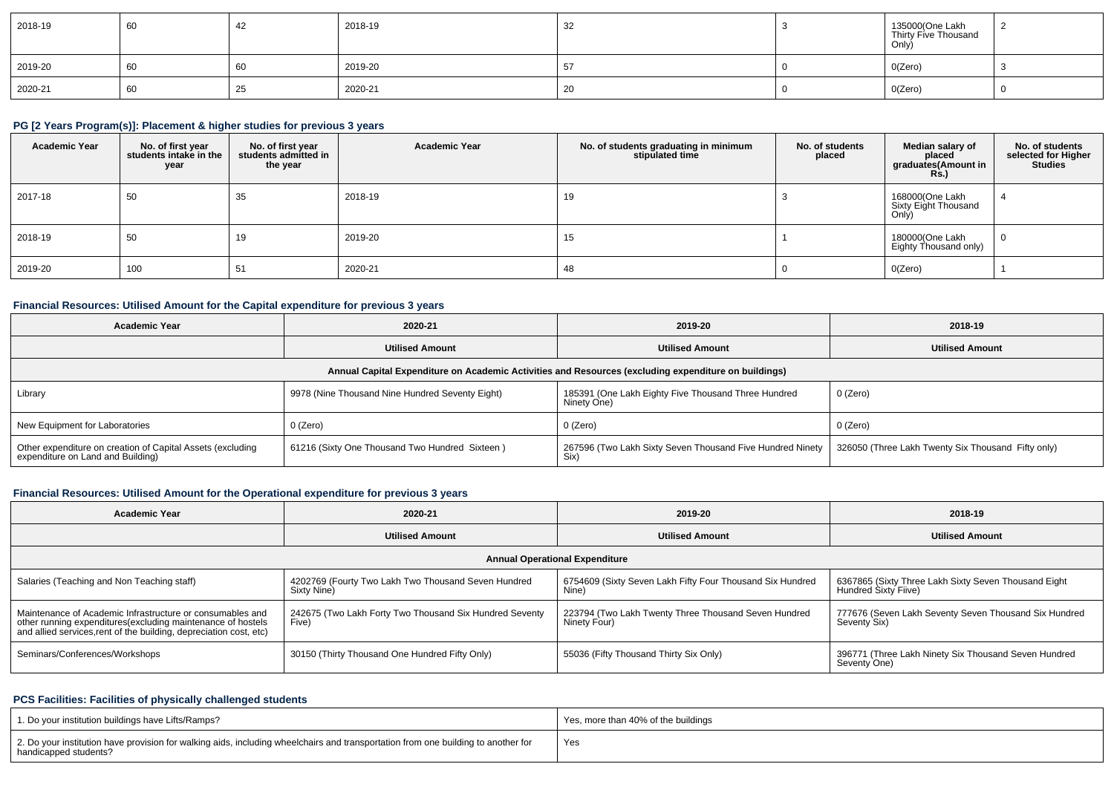| 2018-19 | 60 |    | 2018-19 | 32           | 135000(One Lakh<br>Thirty Five Thousand<br>Only) |  |
|---------|----|----|---------|--------------|--------------------------------------------------|--|
| 2019-20 | 60 | 60 | 2019-20 |              | O(Zero)                                          |  |
| 2020-21 | 60 | ںے | 2020-21 | $\sim$<br>zu | O(Zero)                                          |  |

## **PG [2 Years Program(s)]: Placement & higher studies for previous 3 years**

| <b>Academic Year</b> | No. of first year<br>students intake in the<br>year | No. of first year<br>students admitted in<br>the year | <b>Academic Year</b> | No. of students graduating in minimum<br>stipulated time | No. of students<br>placed | Median salary of<br>placed<br>graduates(Amount in<br><b>Rs.</b> ) | No. of students<br>selected for Higher<br><b>Studies</b> |
|----------------------|-----------------------------------------------------|-------------------------------------------------------|----------------------|----------------------------------------------------------|---------------------------|-------------------------------------------------------------------|----------------------------------------------------------|
| 2017-18              | 50                                                  | 35                                                    | 2018-19              | 19                                                       |                           | 168000(One Lakh<br>Sixty Eight Thousand<br>Only)                  | -4                                                       |
| 2018-19              | 50                                                  | 19                                                    | 2019-20              | 15                                                       |                           | 180000(One Lakh<br>Eighty Thousand only)                          | $\overline{0}$                                           |
| 2019-20              | 100                                                 | 51                                                    | 2020-21              | 48                                                       |                           | O(Zero)                                                           |                                                          |

#### **Financial Resources: Utilised Amount for the Capital expenditure for previous 3 years**

| <b>Academic Year</b>                                                                                 | 2020-21                                         | 2019-20                                                             | 2018-19                                            |  |  |  |  |  |  |  |
|------------------------------------------------------------------------------------------------------|-------------------------------------------------|---------------------------------------------------------------------|----------------------------------------------------|--|--|--|--|--|--|--|
|                                                                                                      | <b>Utilised Amount</b>                          | <b>Utilised Amount</b>                                              | <b>Utilised Amount</b>                             |  |  |  |  |  |  |  |
| Annual Capital Expenditure on Academic Activities and Resources (excluding expenditure on buildings) |                                                 |                                                                     |                                                    |  |  |  |  |  |  |  |
| Library                                                                                              | 9978 (Nine Thousand Nine Hundred Seventy Eight) | 185391 (One Lakh Eighty Five Thousand Three Hundred<br>Ninety One)  | 0 (Zero)                                           |  |  |  |  |  |  |  |
| New Equipment for Laboratories                                                                       | 0 (Zero)                                        | 0 (Zero)                                                            | $0$ (Zero)                                         |  |  |  |  |  |  |  |
| Other expenditure on creation of Capital Assets (excluding<br>expenditure on Land and Building)      | 61216 (Sixty One Thousand Two Hundred Sixteen)  | 267596 (Two Lakh Sixty Seven Thousand Five Hundred Ninety<br>  Six) | 326050 (Three Lakh Twenty Six Thousand Fifty only) |  |  |  |  |  |  |  |

## **Financial Resources: Utilised Amount for the Operational expenditure for previous 3 years**

| <b>Academic Year</b>                                                                                                                                                                            | 2020-21                                                            | 2019-20                                                              | 2018-19                                                                      |  |  |  |  |  |  |
|-------------------------------------------------------------------------------------------------------------------------------------------------------------------------------------------------|--------------------------------------------------------------------|----------------------------------------------------------------------|------------------------------------------------------------------------------|--|--|--|--|--|--|
|                                                                                                                                                                                                 | <b>Utilised Amount</b>                                             | <b>Utilised Amount</b>                                               | <b>Utilised Amount</b>                                                       |  |  |  |  |  |  |
| <b>Annual Operational Expenditure</b>                                                                                                                                                           |                                                                    |                                                                      |                                                                              |  |  |  |  |  |  |
| Salaries (Teaching and Non Teaching staff)                                                                                                                                                      | 4202769 (Fourty Two Lakh Two Thousand Seven Hundred<br>Sixty Nine) | 6754609 (Sixty Seven Lakh Fifty Four Thousand Six Hundred<br>Nine)   | 6367865 (Sixty Three Lakh Sixty Seven Thousand Eight<br>Hundred Sixty Fiive) |  |  |  |  |  |  |
| Maintenance of Academic Infrastructure or consumables and<br>other running expenditures (excluding maintenance of hostels<br>and allied services, rent of the building, depreciation cost, etc) | 242675 (Two Lakh Forty Two Thousand Six Hundred Seventy<br>Five)   | 223794 (Two Lakh Twenty Three Thousand Seven Hundred<br>Ninety Four) | 777676 (Seven Lakh Seventy Seven Thousand Six Hundred<br>Seventy Six)        |  |  |  |  |  |  |
| Seminars/Conferences/Workshops                                                                                                                                                                  | 30150 (Thirty Thousand One Hundred Fifty Only)                     | 55036 (Fifty Thousand Thirty Six Only)                               | 396771 (Three Lakh Ninety Six Thousand Seven Hundred<br>Seventy One)         |  |  |  |  |  |  |

## **PCS Facilities: Facilities of physically challenged students**

| 1. Do your institution buildings have Lifts/Ramps?                                                                                                         | Yes, more than 40% of the buildings |
|------------------------------------------------------------------------------------------------------------------------------------------------------------|-------------------------------------|
| 2. Do your institution have provision for walking aids, including wheelchairs and transportation from one building to another for<br>handicapped students? | Yes                                 |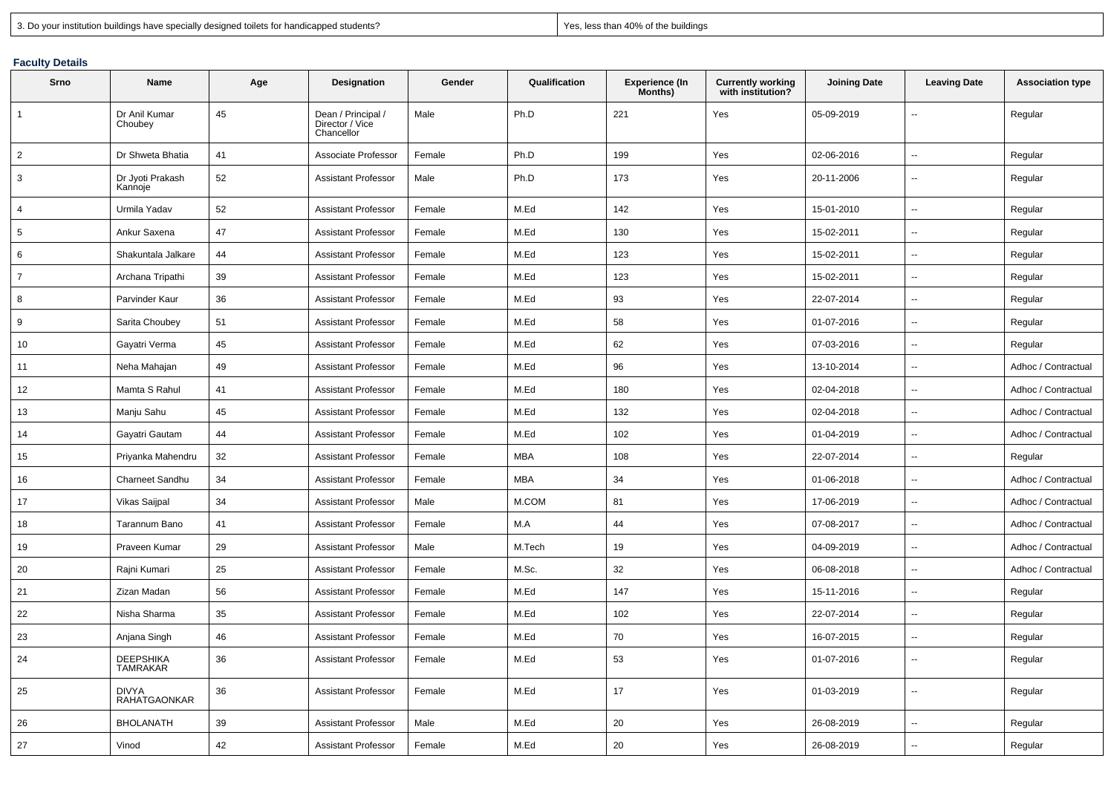|  |  |  |  | 3. Do your institution buildings have specially designed toilets for handicapped students? |  |
|--|--|--|--|--------------------------------------------------------------------------------------------|--|
|  |  |  |  |                                                                                            |  |

Yes, less than 40% of the buildings

## **Faculty Details**

| Srno           | Name                                | Age | <b>Designation</b>                                  | Gender | Qualification | <b>Experience (In</b><br>Months) | <b>Currently working</b><br>with institution? | <b>Joining Date</b> | <b>Leaving Date</b>      | <b>Association type</b> |
|----------------|-------------------------------------|-----|-----------------------------------------------------|--------|---------------|----------------------------------|-----------------------------------------------|---------------------|--------------------------|-------------------------|
| $\overline{1}$ | Dr Anil Kumar<br>Choubey            | 45  | Dean / Principal /<br>Director / Vice<br>Chancellor | Male   | Ph.D          | 221                              | Yes                                           | 05-09-2019          | Ξ.                       | Regular                 |
| 2              | Dr Shweta Bhatia                    | 41  | Associate Professor                                 | Female | Ph.D          | 199                              | Yes                                           | 02-06-2016          | $\overline{\phantom{a}}$ | Regular                 |
| 3              | Dr Jyoti Prakash<br>Kannoje         | 52  | <b>Assistant Professor</b>                          | Male   | Ph.D          | 173                              | Yes                                           | 20-11-2006          | $\mathbf{u}$             | Regular                 |
| $\overline{4}$ | Urmila Yadav                        | 52  | <b>Assistant Professor</b>                          | Female | M.Ed          | 142                              | Yes                                           | 15-01-2010          | $\sim$                   | Regular                 |
| 5              | Ankur Saxena                        | 47  | <b>Assistant Professor</b>                          | Female | M.Ed          | 130                              | Yes                                           | 15-02-2011          | $\sim$                   | Regular                 |
| 6              | Shakuntala Jalkare                  | 44  | <b>Assistant Professor</b>                          | Female | M.Ed          | 123                              | Yes                                           | 15-02-2011          | $\overline{\phantom{a}}$ | Regular                 |
| $\overline{7}$ | Archana Tripathi                    | 39  | <b>Assistant Professor</b>                          | Female | M.Ed          | 123                              | Yes                                           | 15-02-2011          | $\overline{\phantom{a}}$ | Regular                 |
| 8              | Parvinder Kaur                      | 36  | <b>Assistant Professor</b>                          | Female | M.Ed          | 93                               | Yes                                           | 22-07-2014          | ÷.                       | Regular                 |
| 9              | Sarita Choubey                      | 51  | <b>Assistant Professor</b>                          | Female | M.Ed          | 58                               | Yes                                           | 01-07-2016          | ÷.                       | Regular                 |
| 10             | Gayatri Verma                       | 45  | <b>Assistant Professor</b>                          | Female | M.Ed          | 62                               | Yes                                           | 07-03-2016          | $\overline{\phantom{a}}$ | Regular                 |
| 11             | Neha Mahajan                        | 49  | <b>Assistant Professor</b>                          | Female | M.Ed          | 96                               | Yes                                           | 13-10-2014          | $\overline{\phantom{a}}$ | Adhoc / Contractual     |
| 12             | Mamta S Rahul                       | 41  | <b>Assistant Professor</b>                          | Female | M.Ed          | 180                              | Yes                                           | 02-04-2018          | $\overline{\phantom{a}}$ | Adhoc / Contractual     |
| 13             | Manju Sahu                          | 45  | <b>Assistant Professor</b>                          | Female | M.Ed          | 132                              | Yes                                           | 02-04-2018          | $\overline{\phantom{a}}$ | Adhoc / Contractual     |
| 14             | Gayatri Gautam                      | 44  | <b>Assistant Professor</b>                          | Female | M.Ed          | 102                              | Yes                                           | 01-04-2019          | $\mathbf{u}$             | Adhoc / Contractual     |
| 15             | Priyanka Mahendru                   | 32  | <b>Assistant Professor</b>                          | Female | <b>MBA</b>    | 108                              | Yes                                           | 22-07-2014          | $\overline{\phantom{a}}$ | Regular                 |
| 16             | Charneet Sandhu                     | 34  | <b>Assistant Professor</b>                          | Female | <b>MBA</b>    | 34                               | Yes                                           | 01-06-2018          | $\mathbf{u}$             | Adhoc / Contractual     |
| 17             | Vikas Saijpal                       | 34  | <b>Assistant Professor</b>                          | Male   | M.COM         | 81                               | Yes                                           | 17-06-2019          | $\mathbf{u}$             | Adhoc / Contractual     |
| 18             | Tarannum Bano                       | 41  | <b>Assistant Professor</b>                          | Female | M.A           | 44                               | Yes                                           | 07-08-2017          | $\mathbf{u}$             | Adhoc / Contractual     |
| 19             | Praveen Kumar                       | 29  | <b>Assistant Professor</b>                          | Male   | M.Tech        | 19                               | Yes                                           | 04-09-2019          | $\mathbf{u}$             | Adhoc / Contractual     |
| 20             | Rajni Kumari                        | 25  | <b>Assistant Professor</b>                          | Female | M.Sc.         | 32                               | Yes                                           | 06-08-2018          | $\overline{\phantom{a}}$ | Adhoc / Contractual     |
| 21             | Zizan Madan                         | 56  | <b>Assistant Professor</b>                          | Female | M.Ed          | 147                              | Yes                                           | 15-11-2016          | $\sim$                   | Regular                 |
| 22             | Nisha Sharma                        | 35  | <b>Assistant Professor</b>                          | Female | M.Ed          | 102                              | Yes                                           | 22-07-2014          | $\overline{\phantom{a}}$ | Regular                 |
| 23             | Anjana Singh                        | 46  | <b>Assistant Professor</b>                          | Female | M.Ed          | 70                               | Yes                                           | 16-07-2015          | $\overline{\phantom{a}}$ | Regular                 |
| 24             | DEEPSHIKA<br>TAMRAKAR               | 36  | <b>Assistant Professor</b>                          | Female | M.Ed          | 53                               | Yes                                           | 01-07-2016          | ÷.                       | Regular                 |
| 25             | <b>DIVYA</b><br><b>RAHATGAONKAR</b> | 36  | <b>Assistant Professor</b>                          | Female | M.Ed          | 17                               | Yes                                           | 01-03-2019          | Ξ.                       | Regular                 |
| 26             | <b>BHOLANATH</b>                    | 39  | <b>Assistant Professor</b>                          | Male   | M.Ed          | 20                               | Yes                                           | 26-08-2019          | $\sim$                   | Regular                 |
| 27             | Vinod                               | 42  | <b>Assistant Professor</b>                          | Female | M.Ed          | 20                               | Yes                                           | 26-08-2019          |                          | Regular                 |